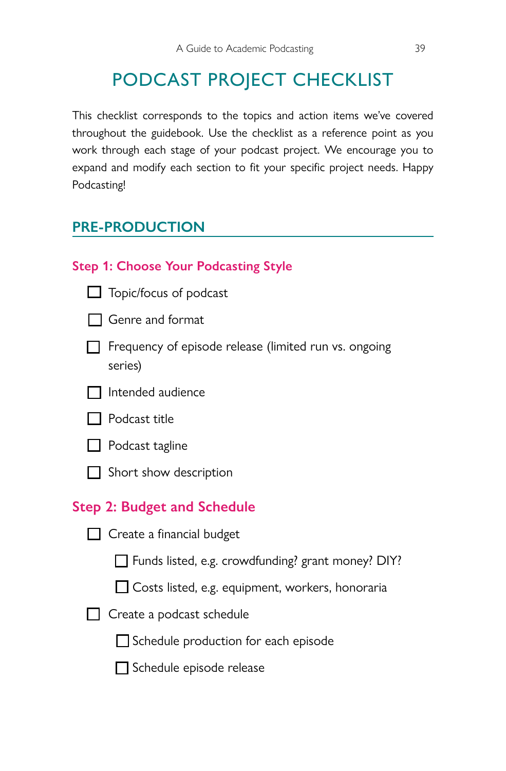# PODCAST PROJECT CHECKLIST

<span id="page-0-0"></span>This checklist corresponds to the topics and action items we've covered throughout the guidebook. Use the checklist as a reference point as you work through each stage of your podcast project. We encourage you to expand and modify each section to fit your specific project needs. Happy Podcasting!

## **PRE-PRODUCTION**

|     | <b>Step 1: Choose Your Podcasting Style</b>                      |
|-----|------------------------------------------------------------------|
|     | $\Box$ Topic/focus of podcast                                    |
|     | <b>Genre and format</b>                                          |
|     | Frequency of episode release (limited run vs. ongoing<br>series) |
| - 1 | Intended audience                                                |
|     | l Podcast title                                                  |
|     | $\Box$ Podcast tagline                                           |
|     | Short show description                                           |
|     | <b>Step 2: Budget and Schedule</b>                               |
|     | $\Box$ Create a financial budget                                 |
|     | Funds listed, e.g. crowdfunding? grant money? DIY?               |
|     | □ Costs listed, e.g. equipment, workers, honoraria               |
|     | Create a podcast schedule                                        |
|     | Schedule production for each episode                             |
|     | Schedule episode release                                         |
|     |                                                                  |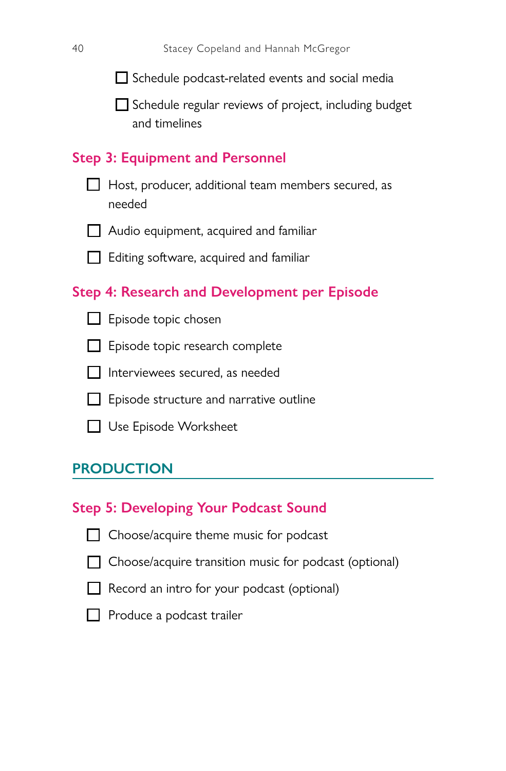$\Box$  Schedule podcast-related events and social media

 $\Box$  Schedule regular reviews of project, including budget and timelines

#### **Step 3: Equipment and Personnel**

- $\Box$  Host, producer, additional team members secured, as needed
- $\Box$  Audio equipment, acquired and familiar
- $\Box$  Editing software, acquired and familiar

### **Step 4: Research and Development per Episode**

- $\Box$  Episode topic chosen
- $\Box$  Episode topic research complete
- $\Box$  Interviewees secured, as needed
- $\Box$  Episode structure and narrative outline
- □ Use Episode Worksheet

#### **PRODUCTION**

#### **Step 5: Developing Your Podcast Sound**

- $\Box$  Choose/acquire theme music for podcast
- 
- $\Box$  Choose/acquire transition music for podcast (optional)
- $\Box$  Record an intro for your podcast (optional)
- $\Box$  Produce a podcast trailer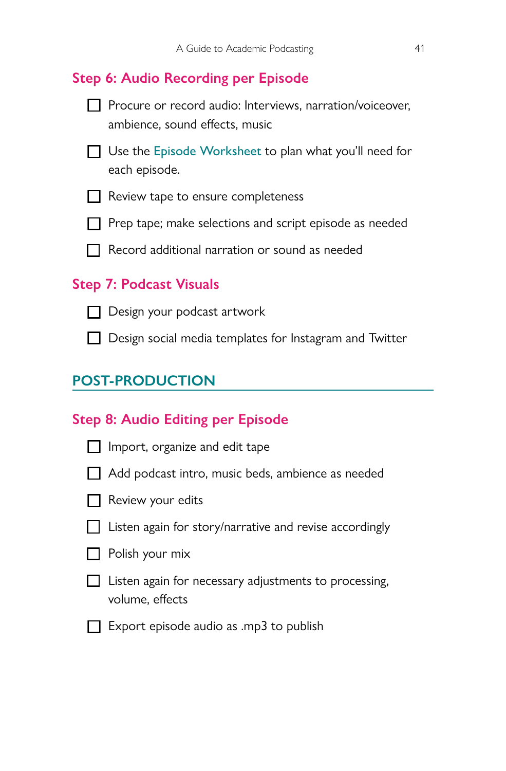## **Step 6: Audio Recording per Episode**



T Use the [Episode Worksheet](#page-0-0) to plan what you'll need for each episode.

 $\Box$  Review tape to ensure completeness

 $\Box$  Prep tape; make selections and script episode as needed

 $\Box$  Record additional narration or sound as needed

#### **Step 7: Podcast Visuals**

 $\Box$  Design your podcast artwork

 $\Box$  Design social media templates for Instagram and Twitter

## **POST-PRODUCTION**

#### **Step 8: Audio Editing per Episode**

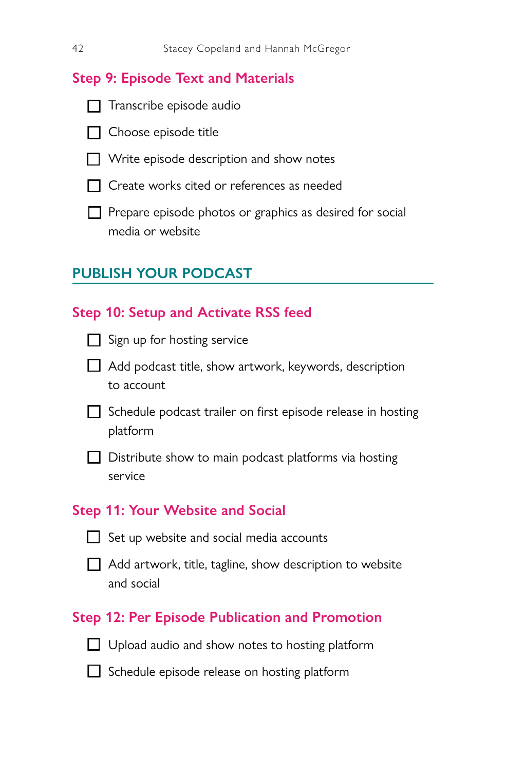## **Step 9: Episode Text and Materials**

 $\Box$  Transcribe episode audio

- $\Box$  Choose episode title
- $\Box$  Write episode description and show notes
- T Create works cited or references as needed
- T Prepare episode photos or graphics as desired for social media or website

## **PUBLISH YOUR PODCAST**

| <b>Step 10: Setup and Activate RSS feed</b>                              |
|--------------------------------------------------------------------------|
| Sign up for hosting service                                              |
| Add podcast title, show artwork, keywords, description<br>to account     |
| Schedule podcast trailer on first episode release in hosting<br>platform |
| Distribute show to main podcast platforms via hosting<br>service         |
|                                                                          |
| <b>Step 11: Your Website and Social</b>                                  |
| Set up website and social media accounts                                 |
| ■ Add artwork, title, tagline, show description to website<br>and social |
| <b>Step 12: Per Episode Publication and Promotion</b>                    |
| $\Box$ Upload audio and show notes to hosting platform                   |